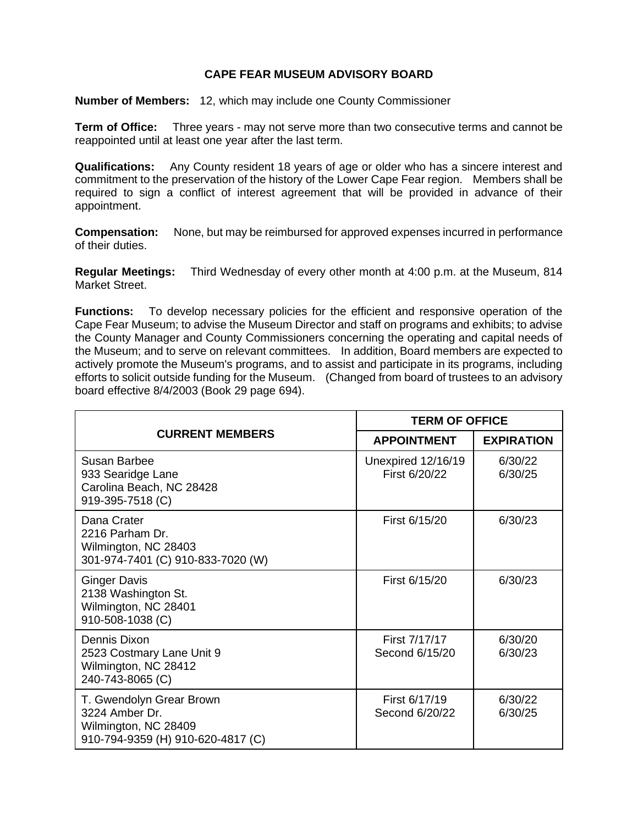## **CAPE FEAR MUSEUM ADVISORY BOARD**

**Number of Members:** 12, which may include one County Commissioner

**Term of Office:** Three years - may not serve more than two consecutive terms and cannot be reappointed until at least one year after the last term.

**Qualifications:** Any County resident 18 years of age or older who has a sincere interest and commitment to the preservation of the history of the Lower Cape Fear region. Members shall be required to sign a conflict of interest agreement that will be provided in advance of their appointment.

**Compensation:** None, but may be reimbursed for approved expenses incurred in performance of their duties.

**Regular Meetings:** Third Wednesday of every other month at 4:00 p.m. at the Museum, 814 Market Street.

**Functions:** To develop necessary policies for the efficient and responsive operation of the Cape Fear Museum; to advise the Museum Director and staff on programs and exhibits; to advise the County Manager and County Commissioners concerning the operating and capital needs of the Museum; and to serve on relevant committees. In addition, Board members are expected to actively promote the Museum's programs, and to assist and participate in its programs, including efforts to solicit outside funding for the Museum. (Changed from board of trustees to an advisory board effective 8/4/2003 (Book 29 page 694).

| <b>CURRENT MEMBERS</b>                                                                                  | <b>TERM OF OFFICE</b>               |                    |
|---------------------------------------------------------------------------------------------------------|-------------------------------------|--------------------|
|                                                                                                         | <b>APPOINTMENT</b>                  | <b>EXPIRATION</b>  |
| Susan Barbee<br>933 Searidge Lane<br>Carolina Beach, NC 28428<br>919-395-7518 (C)                       | Unexpired 12/16/19<br>First 6/20/22 | 6/30/22<br>6/30/25 |
| Dana Crater<br>2216 Parham Dr.<br>Wilmington, NC 28403<br>301-974-7401 (C) 910-833-7020 (W)             | First 6/15/20                       | 6/30/23            |
| <b>Ginger Davis</b><br>2138 Washington St.<br>Wilmington, NC 28401<br>910-508-1038 (C)                  | First 6/15/20                       | 6/30/23            |
| Dennis Dixon<br>2523 Costmary Lane Unit 9<br>Wilmington, NC 28412<br>240-743-8065 (C)                   | First 7/17/17<br>Second 6/15/20     | 6/30/20<br>6/30/23 |
| T. Gwendolyn Grear Brown<br>3224 Amber Dr.<br>Wilmington, NC 28409<br>910-794-9359 (H) 910-620-4817 (C) | First 6/17/19<br>Second 6/20/22     | 6/30/22<br>6/30/25 |